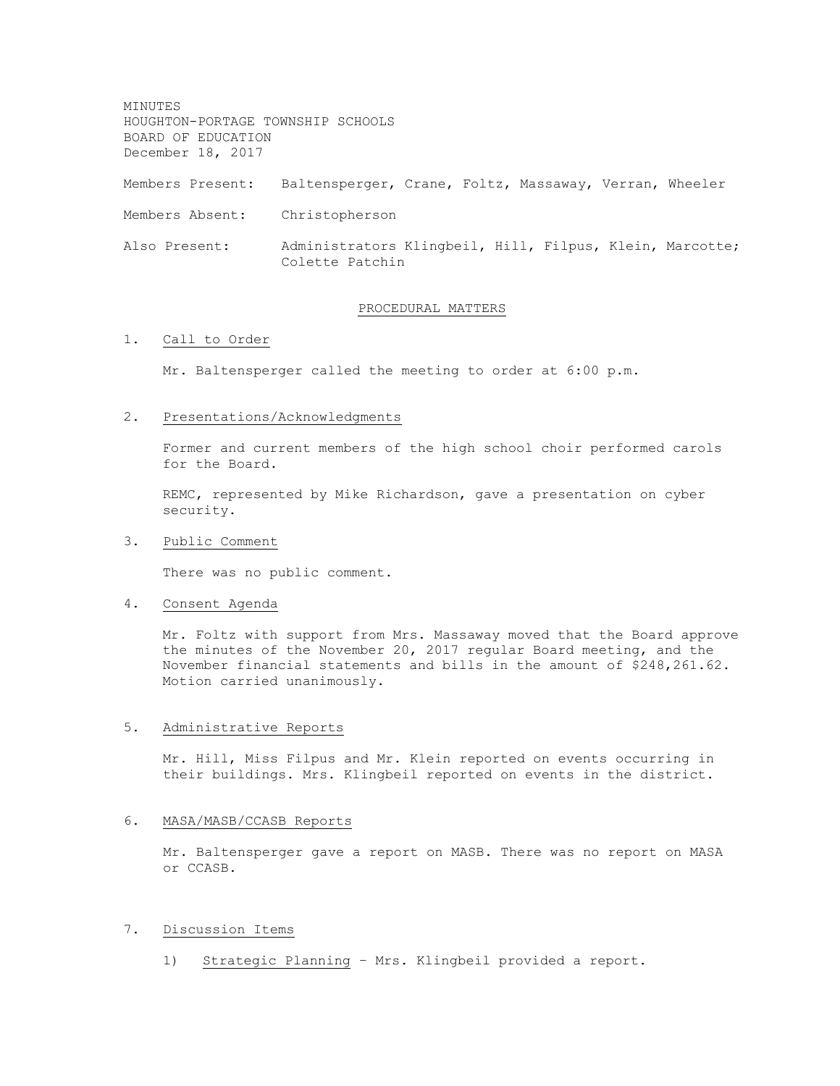MINUTES HOUGHTON-PORTAGE TOWNSHIP SCHOOLS BOARD OF EDUCATION December 18, 2017 Members Present: Baltensperger, Crane, Foltz, Massaway, Verran, Wheeler Members Absent: Christopherson Also Present: Administrators Klingbeil, Hill, Filpus, Klein, Marcotte; Colette Patchin

### PROCEDURAL MATTERS

# 1. Call to Order

Mr. Baltensperger called the meeting to order at 6:00 p.m.

#### 2. Presentations/Acknowledgments

Former and current members of the high school choir performed carols for the Board.

REMC, represented by Mike Richardson, gave a presentation on cyber security.

## 3. Public Comment

There was no public comment.

#### 4. Consent Agenda

Mr. Foltz with support from Mrs. Massaway moved that the Board approve the minutes of the November 20, 2017 regular Board meeting, and the November financial statements and bills in the amount of \$248,261.62. Motion carried unanimously.

#### 5. Administrative Reports

Mr. Hill, Miss Filpus and Mr. Klein reported on events occurring in their buildings. Mrs. Klingbeil reported on events in the district.

### 6. MASA/MASB/CCASB Reports

Mr. Baltensperger gave a report on MASB. There was no report on MASA or CCASB.

## 7. Discussion Items

1) Strategic Planning – Mrs. Klingbeil provided a report.